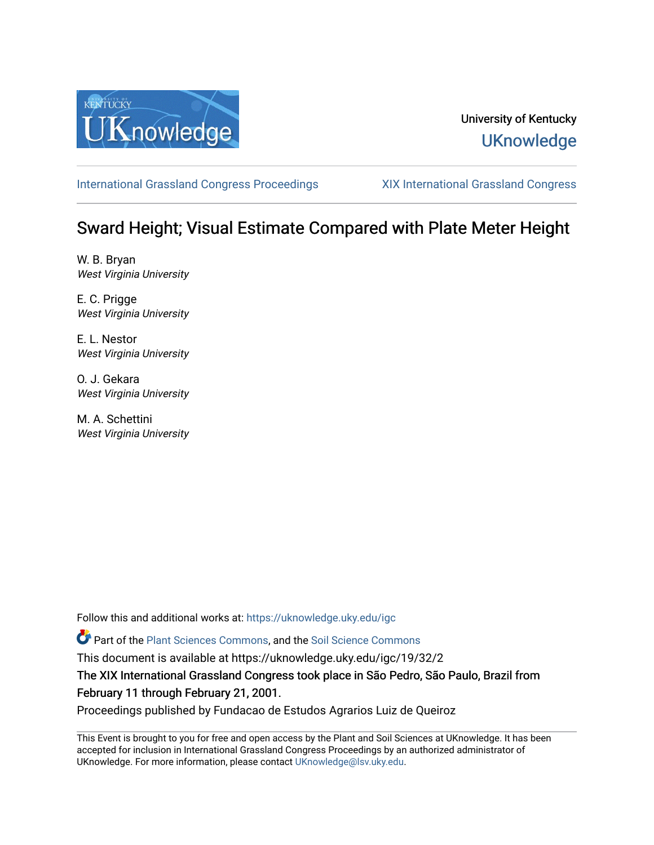

### University of Kentucky **UKnowledge**

[International Grassland Congress Proceedings](https://uknowledge.uky.edu/igc) [XIX International Grassland Congress](https://uknowledge.uky.edu/igc/19) 

## Sward Height; Visual Estimate Compared with Plate Meter Height

W. B. Bryan West Virginia University

E. C. Prigge West Virginia University

E. L. Nestor West Virginia University

O. J. Gekara West Virginia University

M. A. Schettini West Virginia University

Follow this and additional works at: [https://uknowledge.uky.edu/igc](https://uknowledge.uky.edu/igc?utm_source=uknowledge.uky.edu%2Figc%2F19%2F32%2F2&utm_medium=PDF&utm_campaign=PDFCoverPages) 

Part of the [Plant Sciences Commons](http://network.bepress.com/hgg/discipline/102?utm_source=uknowledge.uky.edu%2Figc%2F19%2F32%2F2&utm_medium=PDF&utm_campaign=PDFCoverPages), and the [Soil Science Commons](http://network.bepress.com/hgg/discipline/163?utm_source=uknowledge.uky.edu%2Figc%2F19%2F32%2F2&utm_medium=PDF&utm_campaign=PDFCoverPages) 

This document is available at https://uknowledge.uky.edu/igc/19/32/2

The XIX International Grassland Congress took place in São Pedro, São Paulo, Brazil from February 11 through February 21, 2001.

Proceedings published by Fundacao de Estudos Agrarios Luiz de Queiroz

This Event is brought to you for free and open access by the Plant and Soil Sciences at UKnowledge. It has been accepted for inclusion in International Grassland Congress Proceedings by an authorized administrator of UKnowledge. For more information, please contact [UKnowledge@lsv.uky.edu](mailto:UKnowledge@lsv.uky.edu).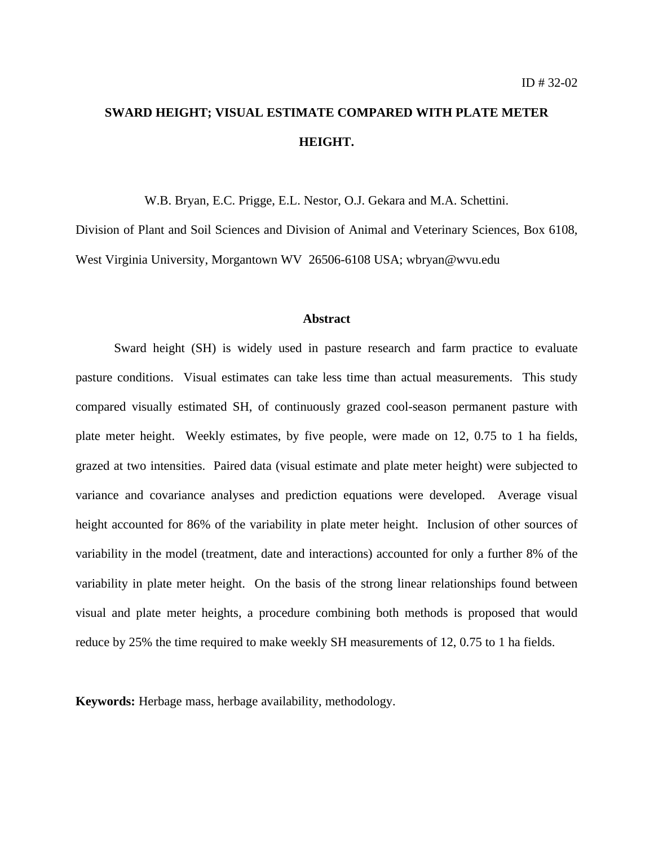# **SWARD HEIGHT; VISUAL ESTIMATE COMPARED WITH PLATE METER HEIGHT.**

W.B. Bryan, E.C. Prigge, E.L. Nestor, O.J. Gekara and M.A. Schettini.

Division of Plant and Soil Sciences and Division of Animal and Veterinary Sciences, Box 6108, West Virginia University, Morgantown WV 26506-6108 USA; wbryan@wvu.edu

#### **Abstract**

Sward height (SH) is widely used in pasture research and farm practice to evaluate pasture conditions. Visual estimates can take less time than actual measurements. This study compared visually estimated SH, of continuously grazed cool-season permanent pasture with plate meter height. Weekly estimates, by five people, were made on 12, 0.75 to 1 ha fields, grazed at two intensities. Paired data (visual estimate and plate meter height) were subjected to variance and covariance analyses and prediction equations were developed. Average visual height accounted for 86% of the variability in plate meter height. Inclusion of other sources of variability in the model (treatment, date and interactions) accounted for only a further 8% of the variability in plate meter height. On the basis of the strong linear relationships found between visual and plate meter heights, a procedure combining both methods is proposed that would reduce by 25% the time required to make weekly SH measurements of 12, 0.75 to 1 ha fields.

**Keywords:** Herbage mass, herbage availability, methodology.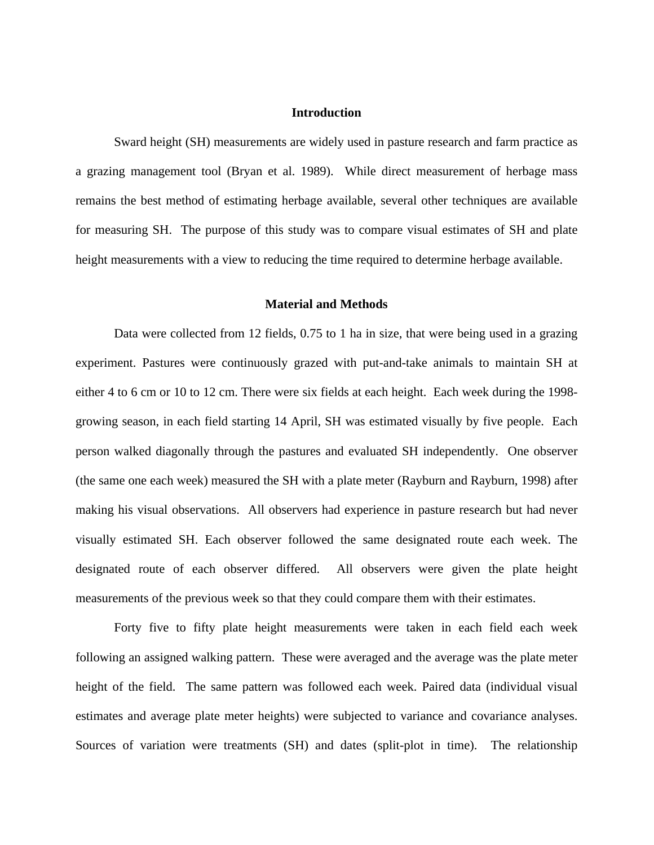#### **Introduction**

Sward height (SH) measurements are widely used in pasture research and farm practice as a grazing management tool (Bryan et al. 1989). While direct measurement of herbage mass remains the best method of estimating herbage available, several other techniques are available for measuring SH. The purpose of this study was to compare visual estimates of SH and plate height measurements with a view to reducing the time required to determine herbage available.

#### **Material and Methods**

Data were collected from 12 fields, 0.75 to 1 ha in size, that were being used in a grazing experiment. Pastures were continuously grazed with put-and-take animals to maintain SH at either 4 to 6 cm or 10 to 12 cm. There were six fields at each height. Each week during the 1998 growing season, in each field starting 14 April, SH was estimated visually by five people. Each person walked diagonally through the pastures and evaluated SH independently. One observer (the same one each week) measured the SH with a plate meter (Rayburn and Rayburn, 1998) after making his visual observations. All observers had experience in pasture research but had never visually estimated SH. Each observer followed the same designated route each week. The designated route of each observer differed. All observers were given the plate height measurements of the previous week so that they could compare them with their estimates.

Forty five to fifty plate height measurements were taken in each field each week following an assigned walking pattern. These were averaged and the average was the plate meter height of the field. The same pattern was followed each week. Paired data (individual visual estimates and average plate meter heights) were subjected to variance and covariance analyses. Sources of variation were treatments (SH) and dates (split-plot in time). The relationship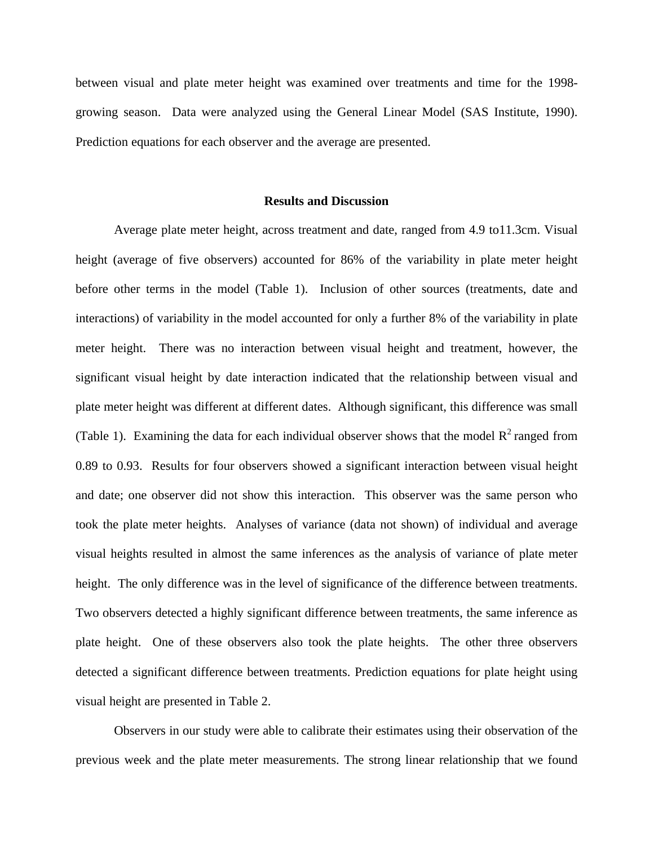between visual and plate meter height was examined over treatments and time for the 1998 growing season. Data were analyzed using the General Linear Model (SAS Institute, 1990). Prediction equations for each observer and the average are presented.

#### **Results and Discussion**

Average plate meter height, across treatment and date, ranged from 4.9 to11.3cm. Visual height (average of five observers) accounted for 86% of the variability in plate meter height before other terms in the model (Table 1). Inclusion of other sources (treatments, date and interactions) of variability in the model accounted for only a further 8% of the variability in plate meter height. There was no interaction between visual height and treatment, however, the significant visual height by date interaction indicated that the relationship between visual and plate meter height was different at different dates. Although significant, this difference was small (Table 1). Examining the data for each individual observer shows that the model  $R^2$  ranged from 0.89 to 0.93. Results for four observers showed a significant interaction between visual height and date; one observer did not show this interaction. This observer was the same person who took the plate meter heights. Analyses of variance (data not shown) of individual and average visual heights resulted in almost the same inferences as the analysis of variance of plate meter height. The only difference was in the level of significance of the difference between treatments. Two observers detected a highly significant difference between treatments, the same inference as plate height. One of these observers also took the plate heights. The other three observers detected a significant difference between treatments. Prediction equations for plate height using visual height are presented in Table 2.

Observers in our study were able to calibrate their estimates using their observation of the previous week and the plate meter measurements. The strong linear relationship that we found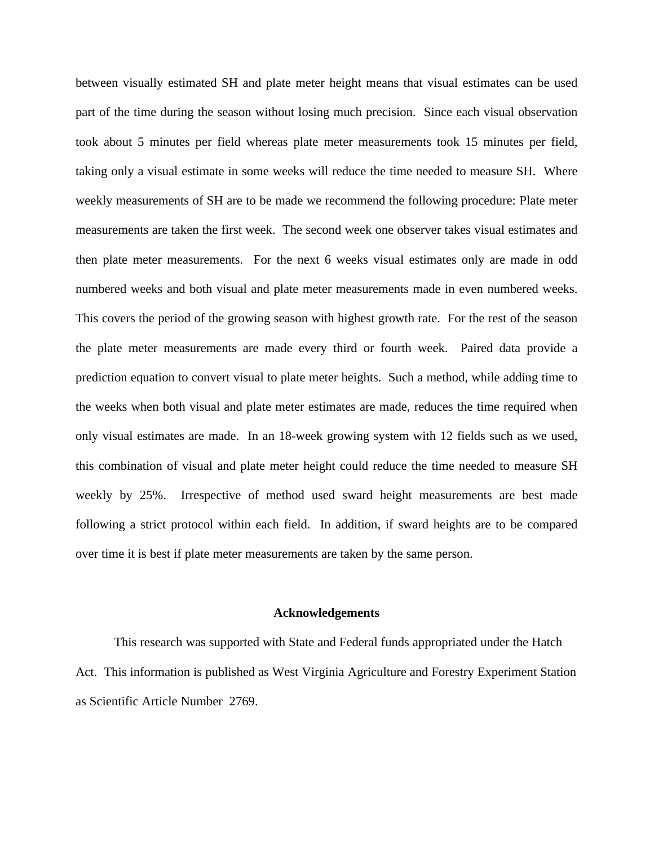between visually estimated SH and plate meter height means that visual estimates can be used part of the time during the season without losing much precision. Since each visual observation took about 5 minutes per field whereas plate meter measurements took 15 minutes per field, taking only a visual estimate in some weeks will reduce the time needed to measure SH. Where weekly measurements of SH are to be made we recommend the following procedure: Plate meter measurements are taken the first week. The second week one observer takes visual estimates and then plate meter measurements. For the next 6 weeks visual estimates only are made in odd numbered weeks and both visual and plate meter measurements made in even numbered weeks. This covers the period of the growing season with highest growth rate. For the rest of the season the plate meter measurements are made every third or fourth week. Paired data provide a prediction equation to convert visual to plate meter heights. Such a method, while adding time to the weeks when both visual and plate meter estimates are made, reduces the time required when only visual estimates are made. In an 18-week growing system with 12 fields such as we used, this combination of visual and plate meter height could reduce the time needed to measure SH weekly by 25%. Irrespective of method used sward height measurements are best made following a strict protocol within each field. In addition, if sward heights are to be compared over time it is best if plate meter measurements are taken by the same person.

#### **Acknowledgements**

This research was supported with State and Federal funds appropriated under the Hatch Act. This information is published as West Virginia Agriculture and Forestry Experiment Station as Scientific Article Number 2769.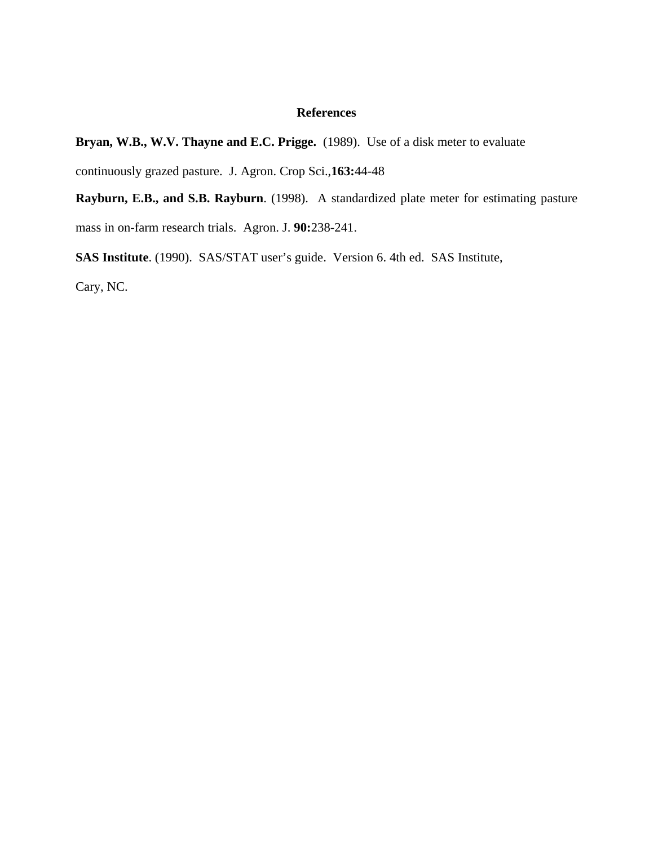### **References**

**Bryan, W.B., W.V. Thayne and E.C. Prigge.** (1989). Use of a disk meter to evaluate

continuously grazed pasture. J. Agron. Crop Sci.,**163:**44-48

**Rayburn, E.B., and S.B. Rayburn**. (1998). A standardized plate meter for estimating pasture mass in on-farm research trials. Agron. J. **90:**238-241.

**SAS Institute**. (1990). SAS/STAT user's guide. Version 6. 4th ed. SAS Institute, Cary, NC.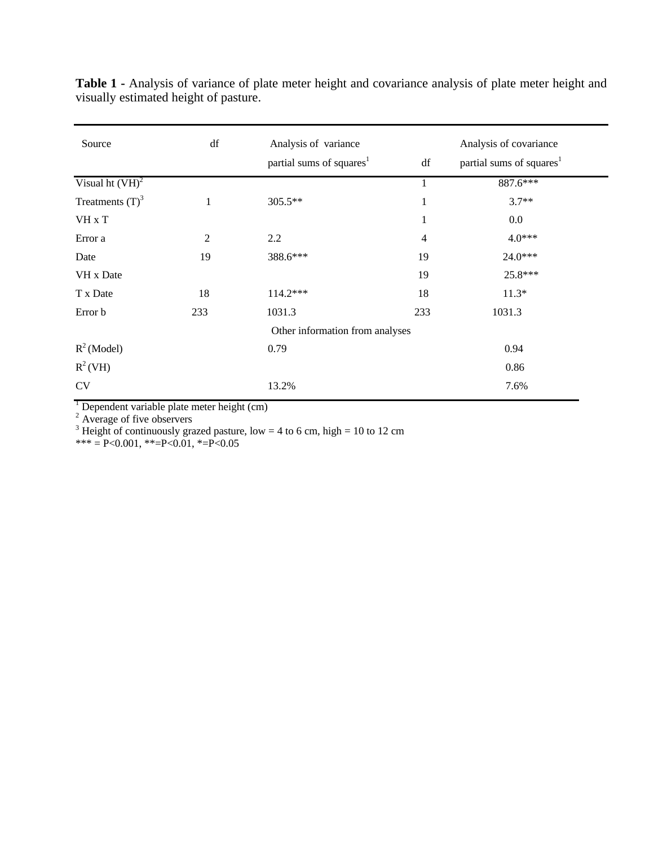| Source                          | df             | Analysis of variance                 |                | Analysis of covariance               |  |
|---------------------------------|----------------|--------------------------------------|----------------|--------------------------------------|--|
|                                 |                | partial sums of squares <sup>1</sup> | df             | partial sums of squares <sup>1</sup> |  |
| Visual ht $(VH)^2$              |                |                                      |                | 887.6***                             |  |
| Treatments $(T)3$               | 1              | 305.5**                              | $\mathbf{1}$   | $3.7**$                              |  |
| VH x T                          |                |                                      | 1              | 0.0                                  |  |
| Error a                         | $\overline{2}$ | 2.2                                  | $\overline{4}$ | $4.0***$                             |  |
| Date                            | 19             | 388.6***                             | 19             | 24.0***                              |  |
| VH x Date                       |                |                                      | 19             | 25.8***                              |  |
| T x Date                        | 18             | $114.2***$                           | 18             | $11.3*$                              |  |
| Error b                         | 233            | 1031.3                               | 233            | 1031.3                               |  |
| Other information from analyses |                |                                      |                |                                      |  |
| $R^2$ (Model)                   |                | 0.79                                 |                | 0.94                                 |  |
| $R^2(VH)$                       |                |                                      |                | 0.86                                 |  |
| CV                              |                | 13.2%                                |                | 7.6%                                 |  |

**Table 1 -** Analysis of variance of plate meter height and covariance analysis of plate meter height and visually estimated height of pasture.

<sup>1</sup> Dependent variable plate meter height (cm)<br>
<sup>2</sup> Average of five observers<br>
<sup>3</sup> Height of continuously grazed pasture, low = 4 to 6 cm, high = 10 to 12 cm

 $*** = P < 0.001, ** = P < 0.01, * = P < 0.05$